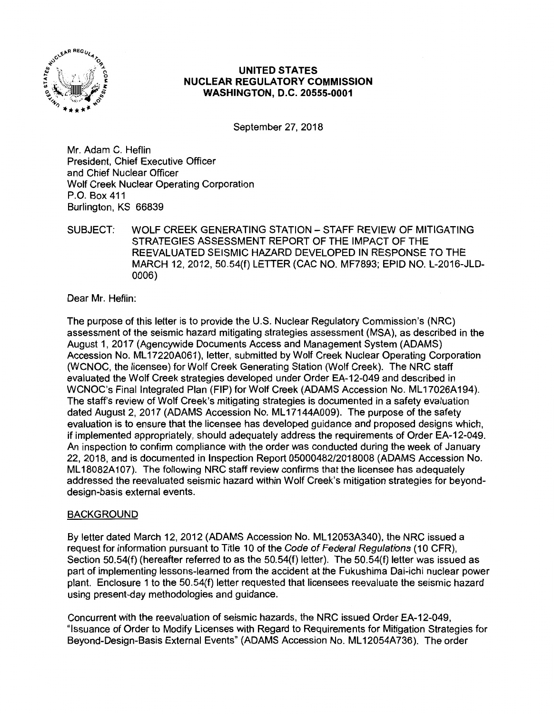

# **UNITED STATES NUCLEAR REGULATORY COMMISSION WASHINGTON, D.C. 20555-0001**

September 27, 2018

Mr. Adam C. Heflin President, Chief Executive Officer and Chief Nuclear Officer Wolf Creek Nuclear Operating Corporation P.O. Box 411 Burlington, KS 66839

SUBJECT: WOLF CREEK GENERATING STATION-STAFF REVIEW OF MITIGATING STRATEGIES ASSESSMENT REPORT OF THE IMPACT OF THE REEVALUATED SEISMIC HAZARD DEVELOPED IN RESPONSE TO THE MARCH 12, 2012, 50.54(f) LETTER (CAC NO. MF7893; EPID NO. L-2016-JLD-0006)

Dear Mr. Heflin:

The purpose of this letter is to provide the U.S. Nuclear Regulatory Commission's (NRC) assessment of the seismic hazard mitigating strategies assessment (MSA), as described in the August 1, 2017 (Agencywide Documents Access and Management System (ADAMS) Accession No. ML 17220A061 ), letter, submitted by Wolf Creek Nuclear Operating Corporation (WCNOC, the licensee) for Wolf Creek Generating Station (Wolf Creek). The NRC staff evaluated the Wolf Creek strategies developed under Order EA-12-049 and described in WCNOC's Final Integrated Plan (FIP) for Wolf Creek (ADAMS Accession No. ML17026A194). The staff's review of Wolf Creek's mitigating strategies is documented in a safety evaluation dated August 2, 2017 (ADAMS Accession No. ML17144A009). The purpose of the safety evaluation is to ensure that the licensee has developed guidance and proposed designs which, if implemented appropriately, should adequately address the requirements of Order EA-12-049. An inspection to confirm compliance with the order was conducted during the week of January 22, 2018, and is documented in Inspection Report 05000482/2018008 (ADAMS Accession No. ML 18082A 107). The following NRC staff review confirms that the licensee has adequately addressed the reevaluated seismic hazard within Wolf Creek's mitigation strategies for beyonddesign-basis external events.

# **BACKGROUND**

By letter dated March 12, 2012 (ADAMS Accession No. ML 12053A340), the NRC issued a request for information pursuant to Title 10 of the Code of Federal Regulations ( 10 CFR), Section 50.54(f) (hereafter referred to as the 50.54(f) letter). The 50.54(f) letter was issued as part of implementing lessons-learned from the accident at the Fukushima Dai-ichi nuclear power plant. Enclosure 1 to the 50.54(f) letter requested that licensees reevaluate the seismic hazard using present-day methodologies and guidance.

Concurrent with the reevaluation of seismic hazards, the NRC issued Order EA-12-049, "Issuance of Order to Modify Licenses with Regard to Requirements for Mitigation Strategies for Beyond-Design-Basis External Events" (ADAMS Accession No. ML 12054A736). The order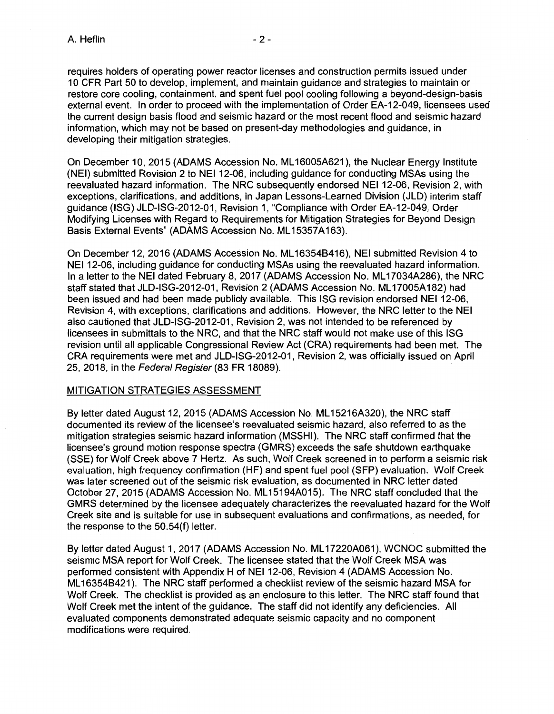requires holders of operating power reactor licenses and construction permits issued under 10 CFR Part 50 to develop, implement, and maintain guidance and strategies to maintain or restore core cooling, containment, and spent fuel pool cooling following a beyond-design-basis external event. In order to proceed with the implementation of Order EA-12-049, licensees used the current design basis flood and seismic hazard or the most recent flood and seismic hazard information, which may not be based on present-day methodologies and guidance, in developing their mitigation strategies.

On December 10, 2015 (ADAMS Accession No. ML 16005A621 ), the Nuclear Energy Institute (NEI) submitted Revision 2 to NEI 12-06, including guidance for conducting MSAs using the reevaluated hazard information. The NRC subsequently endorsed NEI 12-06, Revision 2, with exceptions, clarifications, and additions, in Japan Lessons-Learned Division (JLD) interim staff guidance (ISG) JLD-ISG-2012-01, Revision 1, "Compliance with Order EA-12-049, Order Modifying Licenses with Regard to Requirements for Mitigation Strategies for Beyond Design Basis External Events" (ADAMS Accession No. ML15357A163).

On December 12, 2016 (ADAMS Accession No. ML 163548416), NEI submitted Revision 4 to NEI 12-06, including guidance for conducting MSAs using the reevaluated hazard information. In a letter to the NEI dated February 8, 2017 (ADAMS Accession No. ML 17034A286), the NRC staff stated that JLD-ISG-2012-01, Revision 2 (ADAMS Accession No. ML 17005A 182) had been issued and had been made publicly available. This ISG revision endorsed NEI 12-06, Revision 4, with exceptions, clarifications and additions. However, the NRC letter to the NEI also cautioned that JLD-ISG-2012-01, Revision 2, was not intended to be referenced by licensees in submittals to the NRC, and that the NRC staff would not make use of this ISG revision until all applicable Congressional Review Act (CRA) requirements had been met. The CRA requirements were met and JLD-ISG-2012-01, Revision 2, was officially issued on April 25, 2018, in the Federal Register (83 FR 18089).

### MITIGATION STRATEGIES ASSESSMENT

By letter dated August 12, 2015 (ADAMS Accession No. ML 15216A320), the NRC staff documented its review of the licensee's reevaluated seismic hazard, also referred to as the mitigation strategies seismic hazard information (MSSHI). The NRC staff confirmed that the licensee's ground motion response spectra (GMRS) exceeds the safe shutdown earthquake (SSE) for Wolf Creek above 7 Hertz. As such, Wolf Creek screened in to perform a seismic risk evaluation, high frequency confirmation (HF) and spent fuel pool (SFP) evaluation. Wolf Creek was later screened out of the seismic risk evaluation, as documented in NRC letter dated October 27, 2015 (ADAMS Accession No. ML 15194A015). The NRC staff concluded that the GMRS determined by the licensee adequately characterizes the reevaluated hazard for the Wolf Creek site and is suitable for use in subsequent evaluations and confirmations, as needed, for the response to the 50.54(f) letter.

By letter dated August 1, 2017 (ADAMS Accession No. ML17220A061), WCNOC submitted the seismic MSA report for Wolf Creek. The licensee stated that the Wolf Creek MSA was performed consistent with Appendix H of NEI 12-06, Revision 4 (ADAMS Accession No. ML 163548421 ). The NRC staff performed a checklist review of the seismic hazard MSA for Wolf Creek. The checklist is provided as an enclosure to this letter. The NRC staff found that Wolf Creek met the intent of the guidance. The staff did not identify any deficiencies. All evaluated components demonstrated adequate seismic capacity and no component modifications were required.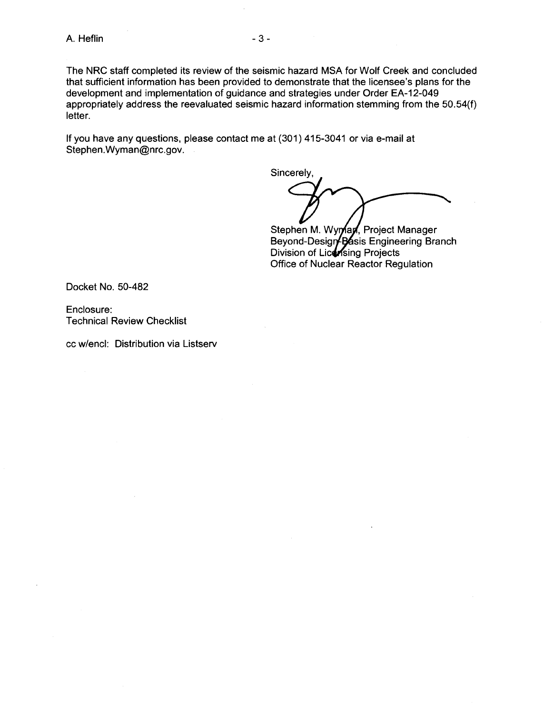The NRC staff completed its review of the seismic hazard MSA for Wolf Creek and concluded that sufficient information has been provided to demonstrate that the licensee's plans for the development and implementation of guidance and strategies under Order EA-12-049 appropriately address the reevaluated seismic hazard information stemming from the 50.54(f) letter.

If you have any questions, please contact me at (301) 415-3041 or via e-mail at Stephen.Wyman@nrc.gov.

Sincerely,

Stephen M. Wynan, Project Manager Beyond-Design**/ Ba**sis Engineering Branch Division of Licensing Projects Office of Nuclear Reactor Regulation

Docket No. 50-482

Enclosure: Technical Review Checklist

cc w/encl: Distribution via Listserv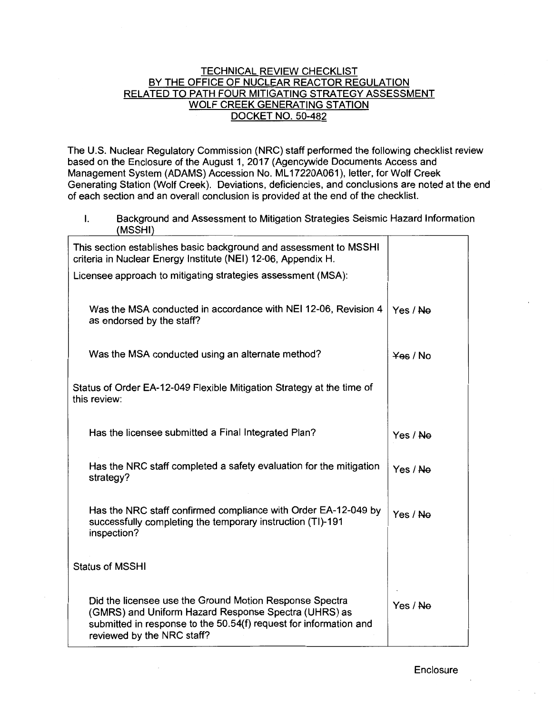# TECHNICAL REVIEW CHECKLIST BY THE OFFICE OF NUCLEAR REACTOR REGULATION RELATED TO PATH FOUR MITIGATING STRATEGY ASSESSMENT WOLF CREEK GENERATING STATION DOCKET NO. 50-482

The U.S. Nuclear Regulatory Commission (NRC) staff performed the following checklist review based on the Enclosure of the August 1, 2017 (Agencywide Documents Access and Management System (ADAMS) Accession No. ML 17220A061 ), letter, for Wolf Creek Generating Station (Wolf Creek). Deviations, deficiencies, and conclusions are noted at the end of each section and an overall conclusion is provided at the end of the checklist.

I. Background and Assessment to Mitigation Strategies Seismic Hazard Information (MSSHI)

| This section establishes basic background and assessment to MSSHI<br>criteria in Nuclear Energy Institute (NEI) 12-06, Appendix H.                                                                                 |                    |
|--------------------------------------------------------------------------------------------------------------------------------------------------------------------------------------------------------------------|--------------------|
| Licensee approach to mitigating strategies assessment (MSA):                                                                                                                                                       |                    |
| Was the MSA conducted in accordance with NEI 12-06, Revision 4<br>as endorsed by the staff?                                                                                                                        | Yes / Ne           |
| Was the MSA conducted using an alternate method?                                                                                                                                                                   | $\frac{y}{x}$ / No |
| Status of Order EA-12-049 Flexible Mitigation Strategy at the time of<br>this review:                                                                                                                              |                    |
| Has the licensee submitted a Final Integrated Plan?                                                                                                                                                                | Yes / Ne           |
| Has the NRC staff completed a safety evaluation for the mitigation<br>strategy?                                                                                                                                    | Yes / No           |
| Has the NRC staff confirmed compliance with Order EA-12-049 by<br>successfully completing the temporary instruction (TI)-191<br>inspection?                                                                        | Yes / Ne           |
| <b>Status of MSSHI</b>                                                                                                                                                                                             |                    |
| Did the licensee use the Ground Motion Response Spectra<br>(GMRS) and Uniform Hazard Response Spectra (UHRS) as<br>submitted in response to the 50.54(f) request for information and<br>reviewed by the NRC staff? | Yes / Ne           |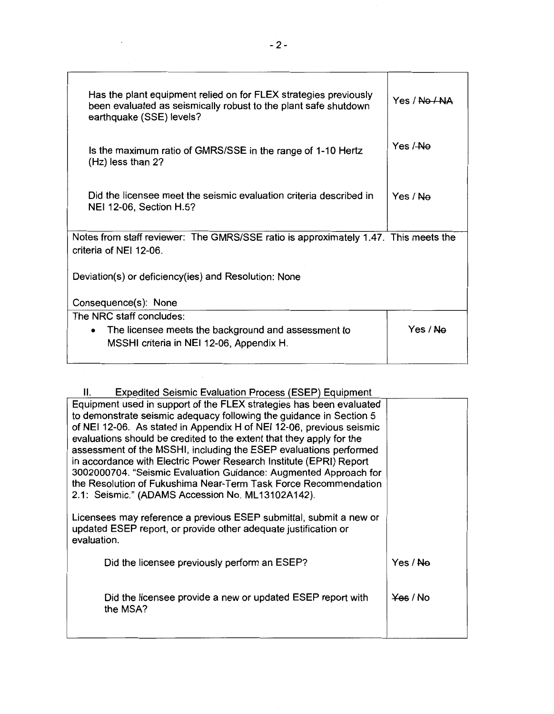| Has the plant equipment relied on for FLEX strategies previously<br>been evaluated as seismically robust to the plant safe shutdown<br>earthquake (SSE) levels? | Yes / No / NA |
|-----------------------------------------------------------------------------------------------------------------------------------------------------------------|---------------|
| Is the maximum ratio of GMRS/SSE in the range of 1-10 Hertz<br>(Hz) less than 2?                                                                                | Yes / Ne      |
| Did the licensee meet the seismic evaluation criteria described in<br>NEI 12-06, Section H.5?                                                                   | Yes / No      |
| Notes from staff reviewer: The GMRS/SSE ratio is approximately 1.47. This meets the<br>criteria of NEI 12-06.                                                   |               |
| Deviation(s) or deficiency(ies) and Resolution: None                                                                                                            |               |
| Consequence(s): None                                                                                                                                            |               |
| The NRC staff concludes:                                                                                                                                        |               |
| The licensee meets the background and assessment to<br>$\bullet$<br>MSSHI criteria in NEI 12-06, Appendix H.                                                    | Yes / Ne      |

# II. Expedited Seismic Evaluation Process (ESEP) Equipment

| Exposition Octomic Evaluation Frocces (EOEF) Equipment               |          |
|----------------------------------------------------------------------|----------|
| Equipment used in support of the FLEX strategies has been evaluated  |          |
| to demonstrate seismic adequacy following the guidance in Section 5  |          |
| of NEI 12-06. As stated in Appendix H of NEI 12-06, previous seismic |          |
| evaluations should be credited to the extent that they apply for the |          |
| assessment of the MSSHI, including the ESEP evaluations performed    |          |
| in accordance with Electric Power Research Institute (EPRI) Report   |          |
| 3002000704. "Seismic Evaluation Guidance: Augmented Approach for     |          |
| the Resolution of Fukushima Near-Term Task Force Recommendation      |          |
| 2.1: Seismic." (ADAMS Accession No. ML13102A142).                    |          |
|                                                                      |          |
| Licensees may reference a previous ESEP submittal, submit a new or   |          |
| updated ESEP report, or provide other adequate justification or      |          |
| evaluation.                                                          |          |
|                                                                      | Yes / Ne |
| Did the licensee previously perform an ESEP?                         |          |
|                                                                      |          |
| Did the licensee provide a new or updated ESEP report with           | Yes / No |
| the MSA?                                                             |          |
|                                                                      |          |
|                                                                      |          |
|                                                                      |          |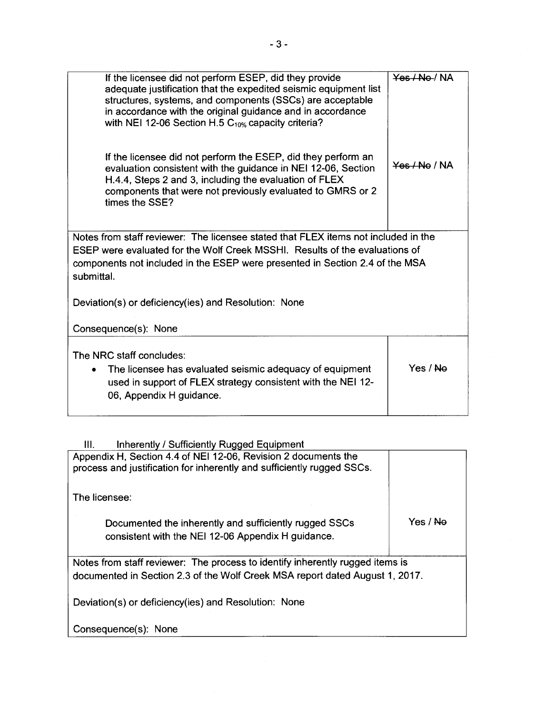| If the licensee did not perform ESEP, did they provide<br>adequate justification that the expedited seismic equipment list<br>structures, systems, and components (SSCs) are acceptable<br>in accordance with the original guidance and in accordance<br>with NEI 12-06 Section H.5 $C_{10\%}$ capacity criteria? | $Y_{AB}/N_{A}/N_{A}$ |  |
|-------------------------------------------------------------------------------------------------------------------------------------------------------------------------------------------------------------------------------------------------------------------------------------------------------------------|----------------------|--|
| If the licensee did not perform the ESEP, did they perform an<br>evaluation consistent with the guidance in NEI 12-06, Section<br>H.4.4, Steps 2 and 3, including the evaluation of FLEX<br>components that were not previously evaluated to GMRS or 2<br>times the SSE?                                          | Yes / No / NA        |  |
| Notes from staff reviewer: The licensee stated that FLEX items not included in the<br>ESEP were evaluated for the Wolf Creek MSSHI. Results of the evaluations of<br>components not included in the ESEP were presented in Section 2.4 of the MSA<br>submittal.                                                   |                      |  |
| Deviation(s) or deficiency(ies) and Resolution: None                                                                                                                                                                                                                                                              |                      |  |
| Consequence(s): None                                                                                                                                                                                                                                                                                              |                      |  |
| The NRC staff concludes:<br>The licensee has evaluated seismic adequacy of equipment<br>used in support of FLEX strategy consistent with the NEI 12-<br>06, Appendix H guidance.                                                                                                                                  | Yes / Ne             |  |

III. Inherently / Sufficiently Rugged Equipment

| Appendix H, Section 4.4 of NEI 12-06, Revision 2 documents the<br>process and justification for inherently and sufficiently rugged SSCs. |          |
|------------------------------------------------------------------------------------------------------------------------------------------|----------|
| The licensee:                                                                                                                            |          |
| Documented the inherently and sufficiently rugged SSCs<br>consistent with the NEI 12-06 Appendix H guidance.                             | Yes / Ne |
| Notes from staff reviewer: The process to identify inherently rugged items is                                                            |          |
| documented in Section 2.3 of the Wolf Creek MSA report dated August 1, 2017.                                                             |          |
| Deviation(s) or deficiency(ies) and Resolution: None                                                                                     |          |
| Consequence(s): None                                                                                                                     |          |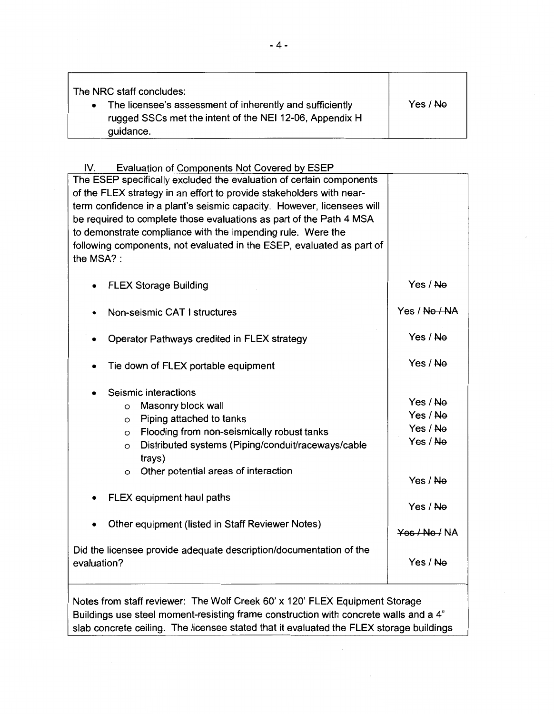| The NRC staff concludes:                                 |          |
|----------------------------------------------------------|----------|
| The licensee's assessment of inherently and sufficiently | Yes / No |
| rugged SSCs met the intent of the NEI 12-06, Appendix H  |          |
| guidance.                                                |          |

# IV Evaluation of Components Not Covered by ESEP

| The ESEP specifically excluded the evaluation of certain components    |               |
|------------------------------------------------------------------------|---------------|
| of the FLEX strategy in an effort to provide stakeholders with near-   |               |
| term confidence in a plant's seismic capacity. However, licensees will |               |
| be required to complete those evaluations as part of the Path 4 MSA    |               |
| to demonstrate compliance with the impending rule. Were the            |               |
| following components, not evaluated in the ESEP, evaluated as part of  |               |
| the MSA?:                                                              |               |
|                                                                        |               |
|                                                                        | Yes / Ne      |
| <b>FLEX Storage Building</b><br>$\bullet$                              |               |
|                                                                        |               |
| Non-seismic CAT I structures                                           | Yes / No / NA |
|                                                                        |               |
| Operator Pathways credited in FLEX strategy                            | Yes / Ne      |
|                                                                        |               |
| Tie down of FLEX portable equipment                                    | Yes / Ne      |
|                                                                        |               |
| Seismic interactions                                                   |               |
| Masonry block wall<br>O                                                | Yes / Ne      |
| Piping attached to tanks                                               | Yes / No      |
| O                                                                      | Yes / No      |
| Flooding from non-seismically robust tanks<br>O                        | Yes / No      |
| Distributed systems (Piping/conduit/raceways/cable<br>O                |               |
| trays)                                                                 |               |
| Other potential areas of interaction<br>O                              |               |
|                                                                        | Yes / Ne      |
| FLEX equipment haul paths                                              |               |
|                                                                        | Yes / Ne      |
| Other equipment (listed in Staff Reviewer Notes)                       |               |
|                                                                        | Yes / No / NA |
| Did the licensee provide adequate description/documentation of the     |               |
| evaluation?                                                            | Yes / No      |
|                                                                        |               |
|                                                                        |               |
|                                                                        |               |

Notes from staff reviewer: The Wolf Creek 60' x 120' FLEX Equipment Storage Buildings use steel moment-resisting frame construction with concrete walls and a 4" slab concrete ceiling. The licensee stated that it evaluated the FLEX storage buildings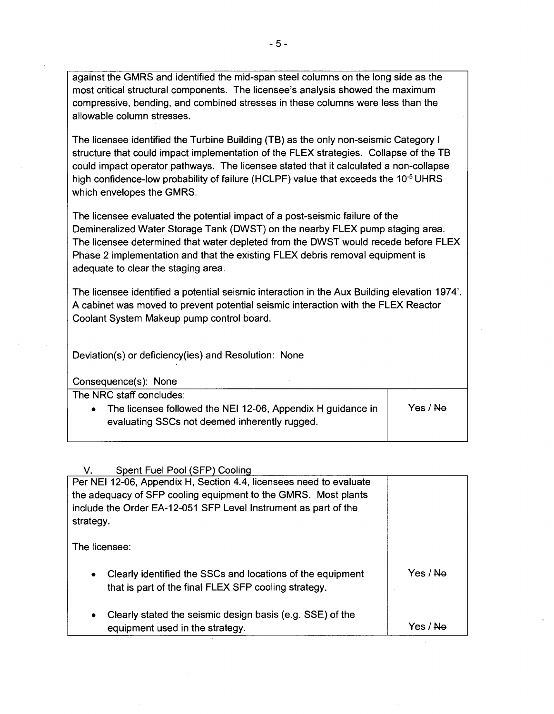against the GMRS and identified the mid-span steel columns on the long side as the most critical structural components. The licensee's analysis showed the maximum compressive, bending, and combined stresses in these columns were less than the allowable column stresses.

The licensee identified the Turbine Building (TB) as the only non-seismic Category I structure that could impact implementation of the FLEX strategies. Collapse of the TB could impact operator pathways. The licensee stated that it calculated a non-collapse high confidence-low probability of failure (HCLPF) value that exceeds the 10<sup>-5</sup> UHRS which envelopes the GMRS.

The licensee evaluated the potential impact of a post-seismic failure of the Demineralized Water Storage Tank (DWST) on the nearby FLEX pump staging area. The licensee determined that water depleted from the DWST would recede before FLEX Phase 2 implementation and that the existing FLEX debris removal equipment is adequate to clear the staging area.

The licensee identified a potential seismic interaction in the Aux Building elevation 1974'. A cabinet was moved to prevent potential seismic interaction with the FLEX Reactor Coolant System Makeup pump control board.

Deviation(s) or deficiency(ies) and Resolution: None

| Consequence(s): None |  |  |  |
|----------------------|--|--|--|
|----------------------|--|--|--|

| The NRC staff concludes:                                                                                     |          |
|--------------------------------------------------------------------------------------------------------------|----------|
| The licensee followed the NEI 12-06, Appendix H guidance in<br>evaluating SSCs not deemed inherently rugged. | Yes / No |

### V. Spent Fuel Pool (SFP) Coolinq

| Per NEI 12-06, Appendix H, Section 4.4, licensees need to evaluate<br>the adequacy of SFP cooling equipment to the GMRS. Most plants<br>include the Order EA-12-051 SFP Level Instrument as part of the<br>strategy. |                     |
|----------------------------------------------------------------------------------------------------------------------------------------------------------------------------------------------------------------------|---------------------|
| The licensee:                                                                                                                                                                                                        |                     |
| Clearly identified the SSCs and locations of the equipment<br>$\bullet$<br>that is part of the final FLEX SFP cooling strategy.                                                                                      | Yes / No            |
| Clearly stated the seismic design basis (e.g. SSE) of the<br>٠<br>equipment used in the strategy.                                                                                                                    | Yes / <del>No</del> |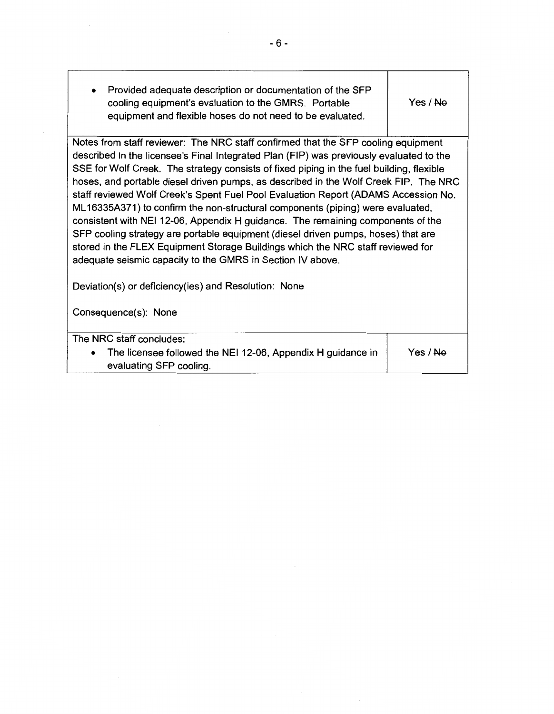| • Provided adequate description or documentation of the SFP |                     |
|-------------------------------------------------------------|---------------------|
| cooling equipment's evaluation to the GMRS. Portable        | Yes / <del>No</del> |
| equipment and flexible hoses do not need to be evaluated.   |                     |

Notes from staff reviewer: The NRC staff confirmed that the SFP cooling equipment described in the licensee's Final Integrated Plan (FIP) was previously evaluated to the SSE for Wolf Creek. The strategy consists of fixed piping in the fuel building, flexible hoses, and portable diesel driven pumps, as described in the Wolf Creek FIP. The NRC staff reviewed Wolf Creek's Spent Fuel Pool Evaluation Report (ADAMS Accession No. ML 16335A371) to confirm the non-structural components (piping) were evaluated, consistent with NEI 12-06, Appendix H guidance. The remaining components of the SFP cooling strategy are portable equipment (diesel driven pumps, hoses) that are stored in the FLEX Equipment Storage Buildings which the NRC staff reviewed for adequate seismic capacity to the **GMRS** in Section IV above.

Deviation(s) or deficiency(ies) and Resolution: None

Consequence(s): None

The NRC staff concludes:

• The licensee followed the NEI 12-06, Appendix H guidance in evaluating SFP cooling. Yes/ Ne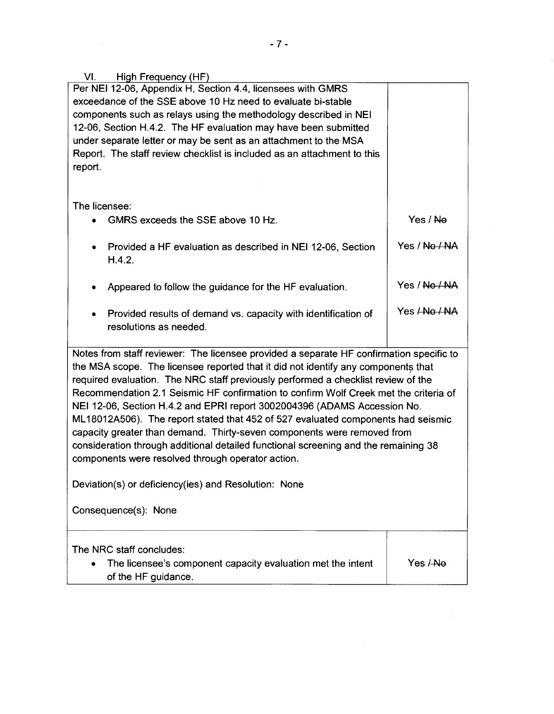| VI.<br>High Frequency (HF)                                                                                                                  |                          |
|---------------------------------------------------------------------------------------------------------------------------------------------|--------------------------|
| Per NEI 12-06, Appendix H, Section 4.4, licensees with GMRS                                                                                 |                          |
| exceedance of the SSE above 10 Hz need to evaluate bi-stable                                                                                |                          |
| components such as relays using the methodology described in NEI                                                                            |                          |
| 12-06, Section H.4.2. The HF evaluation may have been submitted                                                                             |                          |
| under separate letter or may be sent as an attachment to the MSA<br>Report. The staff review checklist is included as an attachment to this |                          |
| report.                                                                                                                                     |                          |
|                                                                                                                                             |                          |
|                                                                                                                                             |                          |
| The licensee:                                                                                                                               |                          |
| GMRS exceeds the SSE above 10 Hz.                                                                                                           | Yes / Ne                 |
|                                                                                                                                             | Yes / No / NA            |
| Provided a HF evaluation as described in NEI 12-06, Section<br>$\bullet$<br>H.4.2.                                                          |                          |
|                                                                                                                                             |                          |
| Appeared to follow the guidance for the HF evaluation.<br>٠                                                                                 | Yes / <del>No / NA</del> |
|                                                                                                                                             |                          |
| Provided results of demand vs. capacity with identification of<br>٠                                                                         | Yes <del>/No / NA</del>  |
| resolutions as needed.                                                                                                                      |                          |
| Notes from staff reviewer: The licensee provided a separate HF confirmation specific to                                                     |                          |
| the MSA scope. The licensee reported that it did not identify any components that                                                           |                          |
| required evaluation. The NRC staff previously performed a checklist review of the                                                           |                          |
| Recommendation 2.1 Seismic HF confirmation to confirm Wolf Creek met the criteria of                                                        |                          |
| NEI 12-06, Section H.4.2 and EPRI report 3002004396 (ADAMS Accession No.                                                                    |                          |
| ML18012A506). The report stated that 452 of 527 evaluated components had seismic                                                            |                          |
| capacity greater than demand. Thirty-seven components were removed from                                                                     |                          |
| consideration through additional detailed functional screening and the remaining 38                                                         |                          |
| components were resolved through operator action.                                                                                           |                          |
|                                                                                                                                             |                          |
| Deviation(s) or deficiency(ies) and Resolution: None                                                                                        |                          |
| Consequence(s): None                                                                                                                        |                          |
| The NRC staff concludes:                                                                                                                    |                          |
| The licensee's component capacity evaluation met the intent                                                                                 | Yes /-No                 |
|                                                                                                                                             |                          |

of the HF guidance.

 $\label{eq:2.1} \mathcal{L}_{\mathcal{A}} = \mathcal{L}_{\mathcal{A}} \left( \mathcal{L}_{\mathcal{A}} \right) \left( \mathcal{L}_{\mathcal{A}} \right) \left( \mathcal{L}_{\mathcal{A}} \right)$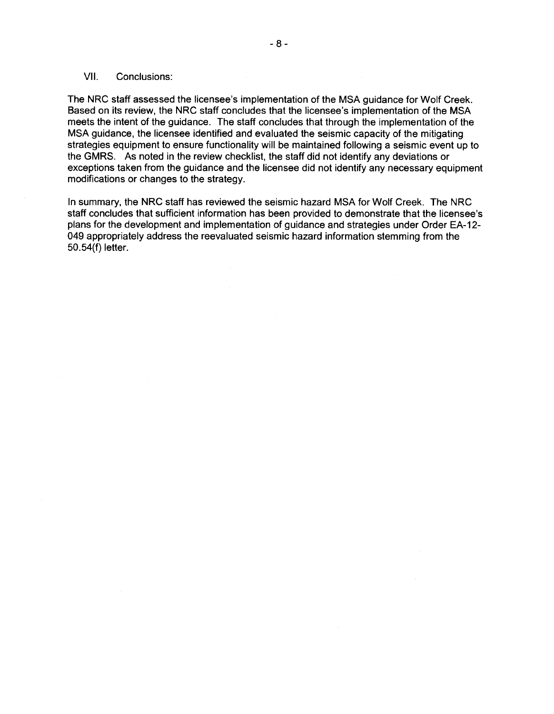#### VII. Conclusions:

The NRC staff assessed the licensee's implementation of the MSA guidance for Wolf Creek. Based on its review, the NRC staff concludes that the licensee's implementation of the MSA meets the intent of the guidance. The staff concludes that through the implementation of the MSA guidance, the licensee identified and evaluated the seismic capacity of the mitigating strategies equipment to ensure functionality will be maintained following a seismic event up to the GMRS. As noted in the review checklist, the staff did not identify any deviations or exceptions taken from the guidance and the licensee did not identify any necessary equipment modifications or changes to the strategy.

In summary, the NRC staff has reviewed the seismic hazard MSA for Wolf Creek. The NRC staff concludes that sufficient information has been provided to demonstrate that the licensee's plans for the development and implementation of guidance and strategies under Order EA-12- 049 appropriately address the reevaluated seismic hazard information stemming from the 50.54(f) letter.